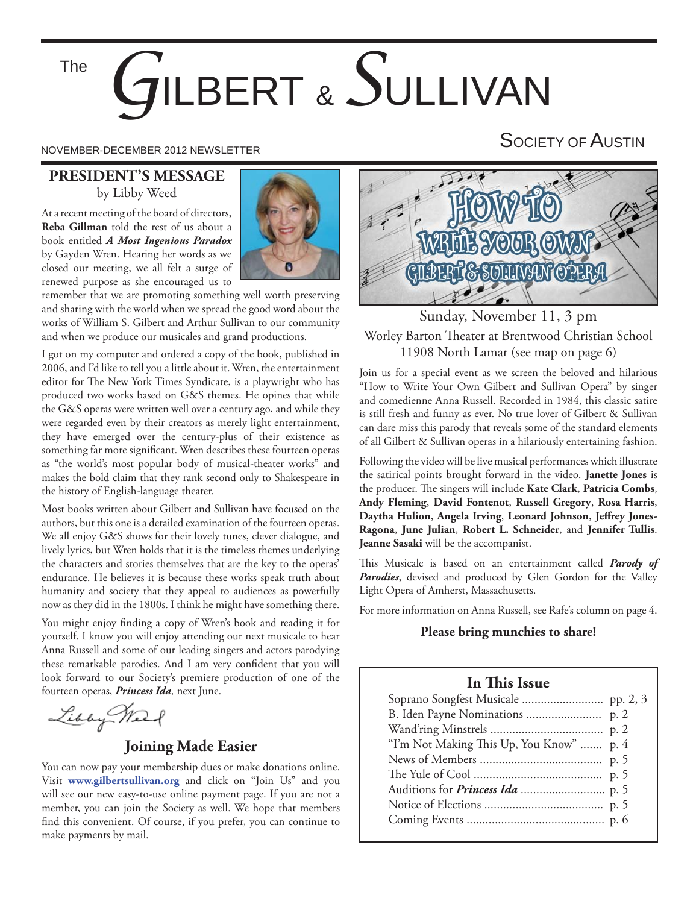The

# *G*ILBERT & *S*ULLIVAN

NOVEMBER-DECEMBER 2012 NEWSLETTER SOCIETY OF AUSTIN

#### **PRESIDENT'S MESSAGE** by Libby Weed

At a recent meeting of the board of directors, **Reba Gillman** told the rest of us about a book entitled *A Most Ingenious Paradox* by Gayden Wren. Hearing her words as we closed our meeting, we all felt a surge of renewed purpose as she encouraged us to



remember that we are promoting something well worth preserving and sharing with the world when we spread the good word about the works of William S. Gilbert and Arthur Sullivan to our community and when we produce our musicales and grand productions.

I got on my computer and ordered a copy of the book, published in 2006, and I'd like to tell you a little about it. Wren, the entertainment editor for The New York Times Syndicate, is a playwright who has produced two works based on G&S themes. He opines that while the G&S operas were written well over a century ago, and while they were regarded even by their creators as merely light entertainment, they have emerged over the century-plus of their existence as something far more significant. Wren describes these fourteen operas as "the world's most popular body of musical-theater works" and makes the bold claim that they rank second only to Shakespeare in the history of English-language theater.

Most books written about Gilbert and Sullivan have focused on the authors, but this one is a detailed examination of the fourteen operas. We all enjoy G&S shows for their lovely tunes, clever dialogue, and lively lyrics, but Wren holds that it is the timeless themes underlying the characters and stories themselves that are the key to the operas' endurance. He believes it is because these works speak truth about humanity and society that they appeal to audiences as powerfully now as they did in the 1800s. I think he might have something there.

You might enjoy finding a copy of Wren's book and reading it for yourself. I know you will enjoy attending our next musicale to hear Anna Russell and some of our leading singers and actors parodying these remarkable parodies. And I am very confident that you will look forward to our Society's premiere production of one of the fourteen operas, *Princess Ida,* next June.

Libby Weed

#### **Joining Made Easier**

You can now pay your membership dues or make donations online. Visit **www.gilbertsullivan.org** and click on "Join Us" and you will see our new easy-to-use online payment page. If you are not a member, you can join the Society as well. We hope that members find this convenient. Of course, if you prefer, you can continue to make payments by mail.



Sunday, November 11, 3 pm Worley Barton Theater at Brentwood Christian School 11908 North Lamar (see map on page 6)

Join us for a special event as we screen the beloved and hilarious "How to Write Your Own Gilbert and Sullivan Opera" by singer and comedienne Anna Russell. Recorded in 1984, this classic satire is still fresh and funny as ever. No true lover of Gilbert & Sullivan can dare miss this parody that reveals some of the standard elements of all Gilbert & Sullivan operas in a hilariously entertaining fashion.

Following the video will be live musical performances which illustrate the satirical points brought forward in the video. **Janette Jones** is the producer. The singers will include Kate Clark, Patricia Combs, **Andy Fleming**, **David Fontenot**, **Russell Gregory**, **Rosa Harris**, Daytha Hulion, Angela Irving, Leonard Johnson, Jeffrey Jones-**Ragona**, **June Julian**, **Robert L. Schneider**, and **Jennifer Tullis**. **Jeanne Sasaki** will be the accompanist.

This Musicale is based on an entertainment called *Parody of* Parodies, devised and produced by Glen Gordon for the Valley Light Opera of Amherst, Massachusetts.

For more information on Anna Russell, see Rafe's column on page 4.

#### **Please bring munchies to share!**

#### **In This Issue**

| "I'm Not Making This Up, You Know"  p. 4 |  |
|------------------------------------------|--|
|                                          |  |
|                                          |  |
|                                          |  |
|                                          |  |
|                                          |  |
|                                          |  |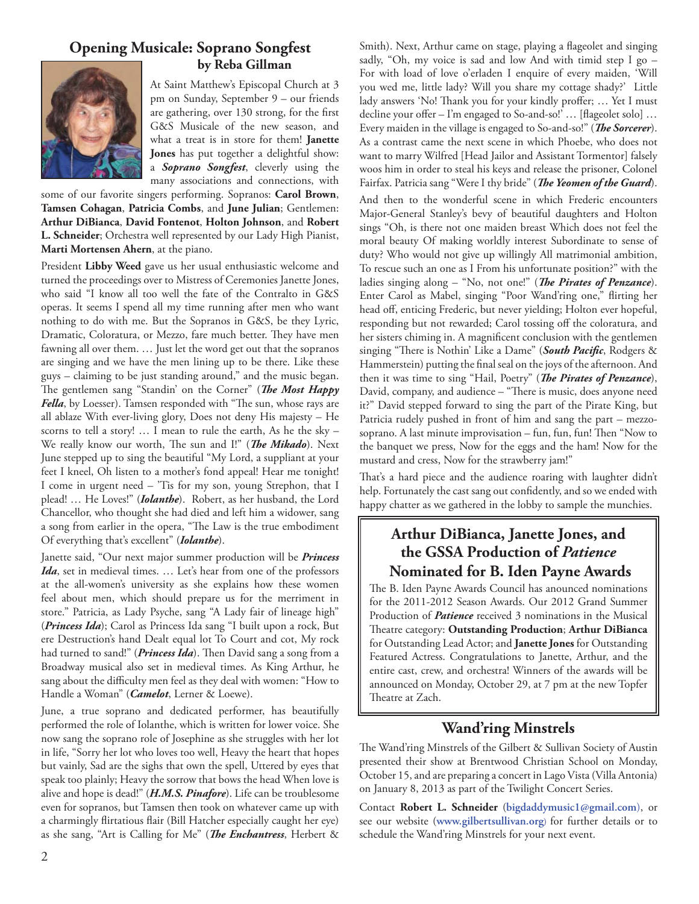#### **Opening Musicale: Soprano Songfest by Reba Gillman**



At Saint Matthew's Episcopal Church at 3 pm on Sunday, September 9 – our friends are gathering, over 130 strong, for the first G&S Musicale of the new season, and what a treat is in store for them! **Janette Jones** has put together a delightful show: a *Soprano Songfest*, cleverly using the many associations and connections, with

some of our favorite singers performing. Sopranos: **Carol Brown**, **Tamsen Cohagan**, **Patricia Combs**, and **June Julian**; Gentlemen: **Arthur DiBianca**, **David Fontenot**, **Holton Johnson**, and **Robert L. Schneider**; Orchestra well represented by our Lady High Pianist, **Marti Mortensen Ahern**, at the piano.

President **Libby Weed** gave us her usual enthusiastic welcome and turned the proceedings over to Mistress of Ceremonies Janette Jones, who said "I know all too well the fate of the Contralto in G&S operas. It seems I spend all my time running after men who want nothing to do with me. But the Sopranos in G&S, be they Lyric, Dramatic, Coloratura, or Mezzo, fare much better. They have men fawning all over them. … Just let the word get out that the sopranos are singing and we have the men lining up to be there. Like these guys – claiming to be just standing around," and the music began. The gentlemen sang "Standin' on the Corner" (*The Most Happy Fella*, by Loesser). Tamsen responded with "The sun, whose rays are all ablaze With ever-living glory, Does not deny His majesty – He scorns to tell a story! … I mean to rule the earth, As he the sky – We really know our worth, The sun and I!" (*The Mikado*). Next June stepped up to sing the beautiful "My Lord, a suppliant at your feet I kneel, Oh listen to a mother's fond appeal! Hear me tonight! I come in urgent need – 'Tis for my son, young Strephon, that I plead! … He Loves!" (*Iolanthe*). Robert, as her husband, the Lord Chancellor, who thought she had died and left him a widower, sang a song from earlier in the opera, "The Law is the true embodiment Of everything that's excellent" (*Iolanthe*).

Janette said, "Our next major summer production will be *Princess*  Ida, set in medieval times. ... Let's hear from one of the professors at the all-women's university as she explains how these women feel about men, which should prepare us for the merriment in store." Patricia, as Lady Psyche, sang "A Lady fair of lineage high" (*Princess Ida*); Carol as Princess Ida sang "I built upon a rock, But ere Destruction's hand Dealt equal lot To Court and cot, My rock had turned to sand!" (*Princess Ida*). Then David sang a song from a Broadway musical also set in medieval times. As King Arthur, he sang about the difficulty men feel as they deal with women: "How to Handle a Woman" (*Camelot*, Lerner & Loewe).

June, a true soprano and dedicated performer, has beautifully performed the role of Iolanthe, which is written for lower voice. She now sang the soprano role of Josephine as she struggles with her lot in life, "Sorry her lot who loves too well, Heavy the heart that hopes but vainly, Sad are the sighs that own the spell, Uttered by eyes that speak too plainly; Heavy the sorrow that bows the head When love is alive and hope is dead!" (*H.M.S. Pinafore*). Life can be troublesome even for sopranos, but Tamsen then took on whatever came up with a charmingly flirtatious flair (Bill Hatcher especially caught her eye) as she sang, "Art is Calling for Me" (*The Enchantress*, Herbert & Smith). Next, Arthur came on stage, playing a flageolet and singing sadly, "Oh, my voice is sad and low And with timid step I go – For with load of love o'erladen I enquire of every maiden, 'Will you wed me, little lady? Will you share my cottage shady?' Little lady answers 'No! Thank you for your kindly proffer; ... Yet I must decline your offer – I'm engaged to So-and-so!' ... [flageolet solo] ... Every maiden in the village is engaged to So-and-so!" (*The Sorcerer*). As a contrast came the next scene in which Phoebe, who does not want to marry Wilfred [Head Jailor and Assistant Tormentor] falsely woos him in order to steal his keys and release the prisoner, Colonel Fairfax. Patricia sang "Were I thy bride" (*The Yeomen of the Guard*).

And then to the wonderful scene in which Frederic encounters Major-General Stanley's bevy of beautiful daughters and Holton sings "Oh, is there not one maiden breast Which does not feel the moral beauty Of making worldly interest Subordinate to sense of duty? Who would not give up willingly All matrimonial ambition, To rescue such an one as I From his unfortunate position?" with the ladies singing along - "No, not one!" (*The Pirates of Penzance*). Enter Carol as Mabel, singing "Poor Wand'ring one," flirting her head off, enticing Frederic, but never yielding; Holton ever hopeful, responding but not rewarded; Carol tossing off the coloratura, and her sisters chiming in. A magnificent conclusion with the gentlemen singing "There is Nothin' Like a Dame" (South Pacific, Rodgers & Hammerstein) putting the final seal on the joys of the afternoon. And then it was time to sing "Hail, Poetry" (*The Pirates of Penzance*), David, company, and audience - "There is music, does anyone need it?" David stepped forward to sing the part of the Pirate King, but Patricia rudely pushed in front of him and sang the part – mezzosoprano. A last minute improvisation – fun, fun, fun! Then "Now to the banquet we press, Now for the eggs and the ham! Now for the mustard and cress, Now for the strawberry jam!"

That's a hard piece and the audience roaring with laughter didn't help. Fortunately the cast sang out confidently, and so we ended with happy chatter as we gathered in the lobby to sample the munchies.

#### **Arthur DiBianca, Janette Jones, and the GSSA Production of** *Patience*  **Nominated for B. Iden Payne Awards**

The B. Iden Payne Awards Council has anounced nominations for the 2011-2012 Season Awards. Our 2012 Grand Summer Production of *Patience* received 3 nominations in the Musical Th eatre category: **Outstanding Production**; **Arthur DiBianca** for Outstanding Lead Actor; and **Janette Jones** for Outstanding Featured Actress. Congratulations to Janette, Arthur, and the entire cast, crew, and orchestra! Winners of the awards will be announced on Monday, October 29, at 7 pm at the new Topfer Theatre at Zach.

# **Wand'ring Minstrels**

The Wand'ring Minstrels of the Gilbert & Sullivan Society of Austin presented their show at Brentwood Christian School on Monday, October 15, and are preparing a concert in Lago Vista (Villa Antonia) on January 8, 2013 as part of the Twilight Concert Series.

Contact **Robert L. Schneider** (**bigdaddymusic1@gmail.com**), or see our website (**www.gilbertsullivan.org**) for further details or to schedule the Wand'ring Minstrels for your next event.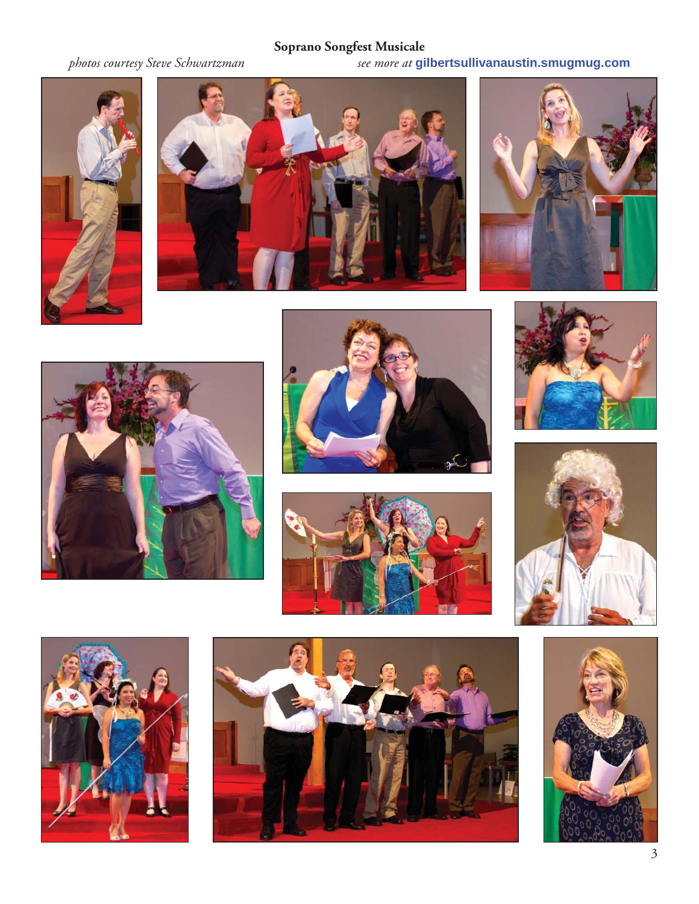# **Soprano Songfest Musicale**

*photos courtesy Steve Schwartzman see more at* **gilbertsullivanaustin.smugmug.com**





















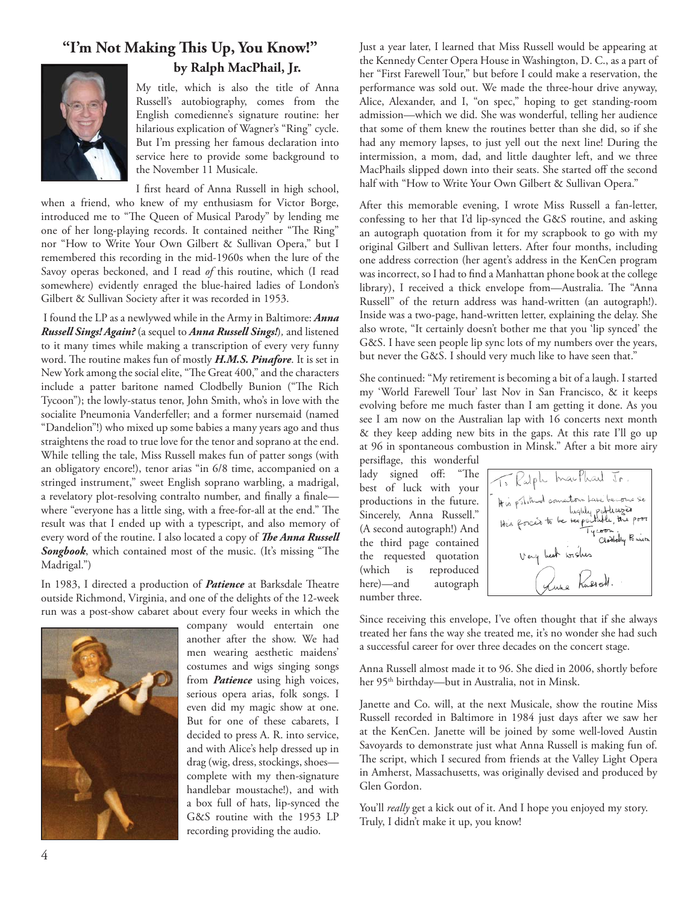## "I'm Not Making This Up, You Know!" **by Ralph MacPhail, Jr.**



My title, which is also the title of Anna Russell's autobiography, comes from the English comedienne's signature routine: her hilarious explication of Wagner's "Ring" cycle. But I'm pressing her famous declaration into service here to provide some background to the November 11 Musicale.

I first heard of Anna Russell in high school, when a friend, who knew of my enthusiasm for Victor Borge, introduced me to "The Queen of Musical Parody" by lending me one of her long-playing records. It contained neither "The Ring" nor "How to Write Your Own Gilbert & Sullivan Opera," but I remembered this recording in the mid-1960s when the lure of the Savoy operas beckoned, and I read *of* this routine, which (I read somewhere) evidently enraged the blue-haired ladies of London's Gilbert & Sullivan Society after it was recorded in 1953.

 I found the LP as a newlywed while in the Army in Baltimore: *Anna Russell Sings! Again?* (a sequel to *Anna Russell Sings!*)*,* and listened to it many times while making a transcription of every very funny word. The routine makes fun of mostly H.M.S. Pinafore. It is set in New York among the social elite, "The Great 400," and the characters include a patter baritone named Clodbelly Bunion ("The Rich Tycoon"); the lowly-status tenor, John Smith, who's in love with the socialite Pneumonia Vanderfeller; and a former nursemaid (named "Dandelion"!) who mixed up some babies a many years ago and thus straightens the road to true love for the tenor and soprano at the end. While telling the tale, Miss Russell makes fun of patter songs (with an obligatory encore!), tenor arias "in 6/8 time, accompanied on a stringed instrument," sweet English soprano warbling, a madrigal, a revelatory plot-resolving contralto number, and finally a finalewhere "everyone has a little sing, with a free-for-all at the end." The result was that I ended up with a typescript, and also memory of every word of the routine. I also located a copy of *The Anna Russell* Songbook, which contained most of the music. (It's missing "The Madrigal.")

In 1983, I directed a production of *Patience* at Barksdale Theatre outside Richmond, Virginia, and one of the delights of the 12-week run was a post-show cabaret about every four weeks in which the



company would entertain one another after the show. We had men wearing aesthetic maidens' costumes and wigs singing songs from *Patience* using high voices, serious opera arias, folk songs. I even did my magic show at one. But for one of these cabarets, I decided to press A. R. into service, and with Alice's help dressed up in drag (wig, dress, stockings, shoes complete with my then-signature handlebar moustache!), and with a box full of hats, lip-synced the G&S routine with the 1953 LP recording providing the audio.

Just a year later, I learned that Miss Russell would be appearing at the Kennedy Center Opera House in Washington, D. C., as a part of her "First Farewell Tour," but before I could make a reservation, the performance was sold out. We made the three-hour drive anyway, Alice, Alexander, and I, "on spec," hoping to get standing-room admission—which we did. She was wonderful, telling her audience that some of them knew the routines better than she did, so if she had any memory lapses, to just yell out the next line! During the intermission, a mom, dad, and little daughter left, and we three MacPhails slipped down into their seats. She started off the second half with "How to Write Your Own Gilbert & Sullivan Opera."

After this memorable evening, I wrote Miss Russell a fan-letter, confessing to her that I'd lip-synced the G&S routine, and asking an autograph quotation from it for my scrapbook to go with my original Gilbert and Sullivan letters. After four months, including one address correction (her agent's address in the KenCen program was incorrect, so I had to find a Manhattan phone book at the college library), I received a thick envelope from-Australia. The "Anna Russell" of the return address was hand-written (an autograph!). Inside was a two-page, hand-written letter, explaining the delay. She also wrote, "It certainly doesn't bother me that you 'lip synced' the G&S. I have seen people lip sync lots of my numbers over the years, but never the G&S. I should very much like to have seen that."

She continued: "My retirement is becoming a bit of a laugh. I started my 'World Farewell Tour' last Nov in San Francisco, & it keeps evolving before me much faster than I am getting it done. As you see I am now on the Australian lap with 16 concerts next month & they keep adding new bits in the gaps. At this rate I'll go up at 96 in spontaneous combustion in Minsk." After a bit more airy

persiflage, this wonderful lady signed off: "The best of luck with your productions in the future. Sincerely, Anna Russell." (A second autograph!) And the third page contained the requested quotation (which is reproduced here)—and autograph number three.



Since receiving this envelope, I've often thought that if she always treated her fans the way she treated me, it's no wonder she had such a successful career for over three decades on the concert stage.

Anna Russell almost made it to 96. She died in 2006, shortly before her 95th birthday—but in Australia, not in Minsk.

Janette and Co. will, at the next Musicale, show the routine Miss Russell recorded in Baltimore in 1984 just days after we saw her at the KenCen. Janette will be joined by some well-loved Austin Savoyards to demonstrate just what Anna Russell is making fun of. The script, which I secured from friends at the Valley Light Opera in Amherst, Massachusetts, was originally devised and produced by Glen Gordon.

You'll *really* get a kick out of it. And I hope you enjoyed my story. Truly, I didn't make it up, you know!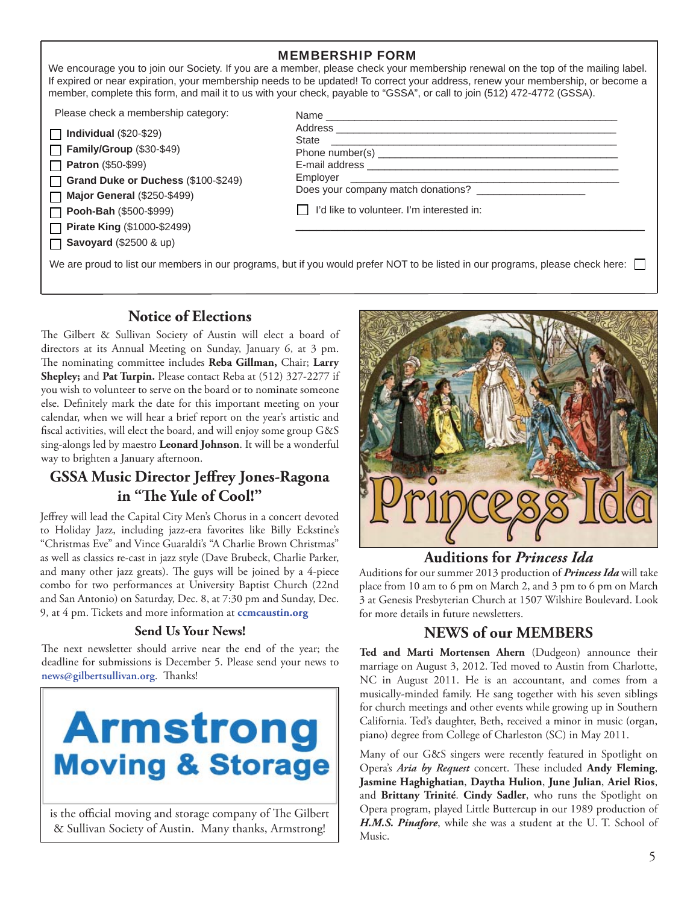| <b>MEMBERSHIP FORM</b><br>We encourage you to join our Society. If you are a member, please check your membership renewal on the top of the mailing label.<br>If expired or near expiration, your membership needs to be updated! To correct your address, renew your membership, or become a<br>member, complete this form, and mail it to us with your check, payable to "GSSA", or call to join (512) 472-4772 (GSSA). |                                           |  |  |
|---------------------------------------------------------------------------------------------------------------------------------------------------------------------------------------------------------------------------------------------------------------------------------------------------------------------------------------------------------------------------------------------------------------------------|-------------------------------------------|--|--|
| Please check a membership category:<br>Individual $(\$20-\$29)$                                                                                                                                                                                                                                                                                                                                                           |                                           |  |  |
| <b>Family/Group (\$30-\$49)</b>                                                                                                                                                                                                                                                                                                                                                                                           |                                           |  |  |
| $\Box$ Patron (\$50-\$99)                                                                                                                                                                                                                                                                                                                                                                                                 |                                           |  |  |
| Grand Duke or Duchess (\$100-\$249)                                                                                                                                                                                                                                                                                                                                                                                       | Employer                                  |  |  |
| <b>Major General (\$250-\$499)</b>                                                                                                                                                                                                                                                                                                                                                                                        |                                           |  |  |
| Pooh-Bah (\$500-\$999)                                                                                                                                                                                                                                                                                                                                                                                                    | I'd like to volunteer. I'm interested in: |  |  |
| <b>Pirate King (\$1000-\$2499)</b>                                                                                                                                                                                                                                                                                                                                                                                        |                                           |  |  |
| $\Box$ Savoyard (\$2500 & up)                                                                                                                                                                                                                                                                                                                                                                                             |                                           |  |  |
| We are proud to list our members in our programs, but if you would prefer NOT to be listed in our programs, please check here:                                                                                                                                                                                                                                                                                            |                                           |  |  |

#### **Notice of Elections**

The Gilbert & Sullivan Society of Austin will elect a board of directors at its Annual Meeting on Sunday, January 6, at 3 pm. The nominating committee includes Reba Gillman, Chair; Larry **Shepley;** and **Pat Turpin.** Please contact Reba at (512) 327-2277 if you wish to volunteer to serve on the board or to nominate someone else. Definitely mark the date for this important meeting on your calendar, when we will hear a brief report on the year's artistic and fiscal activities, will elect the board, and will enjoy some group G&S sing-alongs led by maestro **Leonard Johnson**. It will be a wonderful way to brighten a January afternoon.

### **GSSA Music Director Jeffrey Jones-Ragona** in "The Yule of Cool!"

Jeffrey will lead the Capital City Men's Chorus in a concert devoted to Holiday Jazz, including jazz-era favorites like Billy Eckstine's "Christmas Eve" and Vince Guaraldi's "A Charlie Brown Christmas" as well as classics re-cast in jazz style (Dave Brubeck, Charlie Parker, and many other jazz greats). The guys will be joined by a 4-piece combo for two performances at University Baptist Church (22nd and San Antonio) on Saturday, Dec. 8, at 7:30 pm and Sunday, Dec. 9, at 4 pm. Tickets and more information at **ccmcaustin.org**

#### **Send Us Your News!**

The next newsletter should arrive near the end of the year; the deadline for submissions is December 5. Please send your news to news@gilbertsullivan.org. Thanks!



is the official moving and storage company of The Gilbert & Sullivan Society of Austin. Many thanks, Armstrong!



#### **Auditions for** *Princess Ida*

Auditions for our summer 2013 production of *Princess Ida* will take place from 10 am to 6 pm on March 2, and 3 pm to 6 pm on March 3 at Genesis Presbyterian Church at 1507 Wilshire Boulevard. Look for more details in future newsletters.

# **NEWS of our MEMBERS**

**Ted and Marti Mortensen Ahern** (Dudgeon) announce their marriage on August 3, 2012. Ted moved to Austin from Charlotte, NC in August 2011. He is an accountant, and comes from a musically-minded family. He sang together with his seven siblings for church meetings and other events while growing up in Southern California. Ted's daughter, Beth, received a minor in music (organ, piano) degree from College of Charleston (SC) in May 2011.

Many of our G&S singers were recently featured in Spotlight on Opera's *Aria by Request* concert. These included **Andy Fleming**, **Jasmine Haghighatian**, **Daytha Hulion**, **June Julian**, **Ariel Rios**, and **Brittany Trinité**. **Cindy Sadler**, who runs the Spotlight on Opera program, played Little Buttercup in our 1989 production of *H.M.S. Pinafore*, while she was a student at the U. T. School of Music.